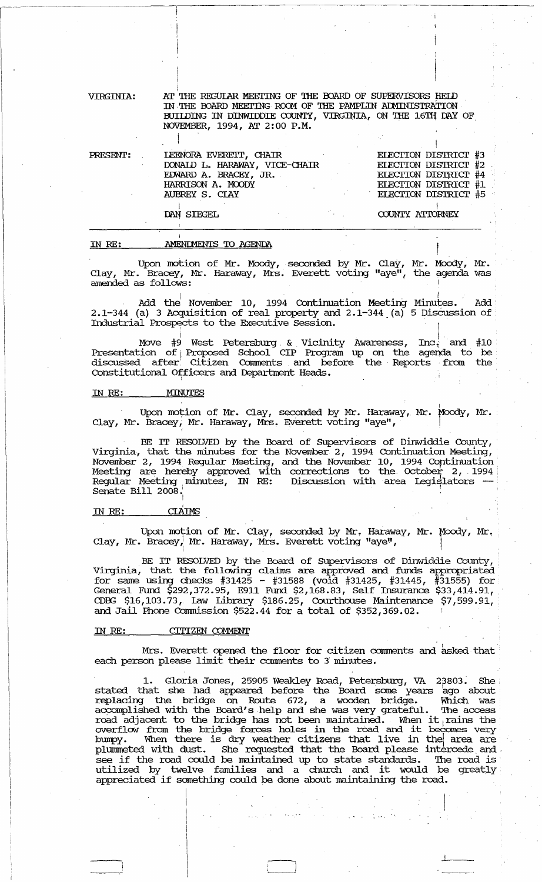VIRGINIA:

AT THE REGULAR MEETING OF THE BOARD OF SUPERVISORS HELD IN THE BOARD MEETING ROOM OF THE PAMPLIN ADMINISTRATION BUILDING IN DINWIDDIE COUNTY, VIRGINIA, ON THE 16TH DAY OF NOVEMBER, 1994, AT 2:00 P.M.

| PRESENT: | LEENORA EVERETT, CHAIR        |  | <b>ELECTION DISTRICT #3</b> |
|----------|-------------------------------|--|-----------------------------|
|          | DONAID L. HARAWAY, VICE-CHAIR |  | ELECTION DISTRICT #2        |
|          | EDWARD A. BRACEY, JR.         |  | ELECTION DISTRICT #4        |
|          | HARRISON A. MOODY             |  | ELECTION DISTRICT #1        |
|          | AUBREY S. CLAY                |  | <b>ELECTION DISTRICT #5</b> |
|          |                               |  |                             |
|          | DAN STEGEL                    |  | COUNTY ATTORNEY             |

#### DAN SIEGEL

#### IN RE: AMENDMENTS TO AGENDA

Upon motion of Mr. Moody, seconded by Mr. Clay, Mr. Moody, Mr.<br>Clay, Mr. Bracey, Mr. Haraway, Mrs. Everett voting "aye", the agenda was amended as follows:

Add the November 10, 1994 Continuation Meeting Minutes. Add 2.1-344 (a) 3 Acquisition of real property and 2.1-344 (a) 5 Discussion of Industrial Prospects to the Executive Session. Add

Move #9 West Petersburg & Vicinity Awareness, Inc. and #10<br>Presentation of Proposed School CIP Program up on the agenda to be<br>discussed after Citizen Comments and before the Reports from the Constitutional Officers and Department Heads.

#### **MINUTES** IN RE:

Upon motion of Mr. Clay, seconded by Mr. Haraway, Mr. Moody, Mr. Clay, Mr. Bracey, Mr. Haraway, Mrs. Everett voting "aye",

BE IT RESOLVED by the Board of Supervisors of Dinwiddie County,<br>Virginia, that the minutes for the November 2, 1994 Continuation Meeting,<br>November 2, 1994 Regular Meeting, and the November 10, 1994 Continuation<br>Meeting are

#### **CLAIMS** IN RE:

Upon motion of Mr. Clay, seconded by Mr. Haraway, Mr. Moody, Mr. Clay, Mr. Bracey, Mr. Haraway, Mrs. Everett voting "aye",

BE IT RESOLVED by the Board of Supervisors of Dinwiddie County, Virginia, that the following claims are approved and funds appropriated<br>for same using checks  $#31425 - #31588$  (void  $#31425$ ,  $#31445$ ,  $#31555$ ) for<br>General Fund \$292,372.95, E911 Fund \$2,168.83, Self Insurance \$33,414.9 CDBG \$16,103.73, Law Library \$186.25, Courthouse Maintenance \$7,599.91, and Jail Phone Commission \$522.44 for a total of \$352,369.02.

#### CITIZEN COMMENT IN RE:

Mrs. Everett opened the floor for citizen comments and asked that each person please limit their comments to 3 minutes.

1. Gloria Jones, 25905 Weakley Road, Petersburg, VA 23803. She stated that she had appeared before the Board some years ago about She : replacing the bridge on Route 672, a wooden bridge. Which was<br>accomplished with the Board's help and she was very grateful. The access<br>road adjacent to the bridge has not been maintained. When it rains the overflow from the bridge forces holes in the road and it becomes very bumpy. When there is dry weather citizens that live in the area are plummeted with dust. She requested that the Board please intercede and see if the road could be maintained up to state standards. The road is utilized by twelve families and a church and it would be greatly appreciated if something could be done about maintaining the road.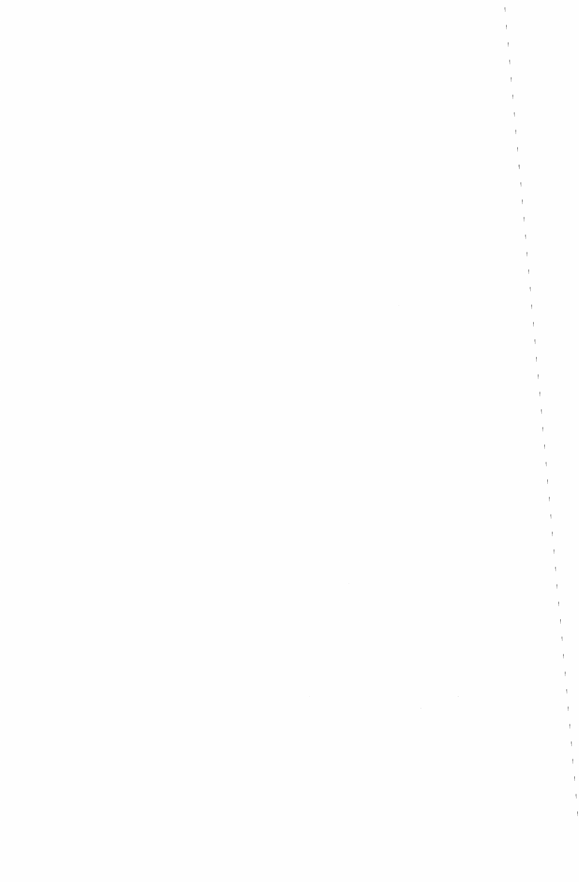$\mathbf{L}$  $\bar{\Gamma}$  $\mathcal{A}$  $\mathcal{A}^{\pm}$  $\sim 10$  $\sim 1^{\circ}$  $\mathcal{A}^{\mathcal{A}}$ 

 $\bar{\Gamma}$ 

 $\mathbb{F}_2$  $\bar{1}$ 

 $\bar{1}$ 

 $\bar{\rm T}$ 

 $\bar{\rm T}$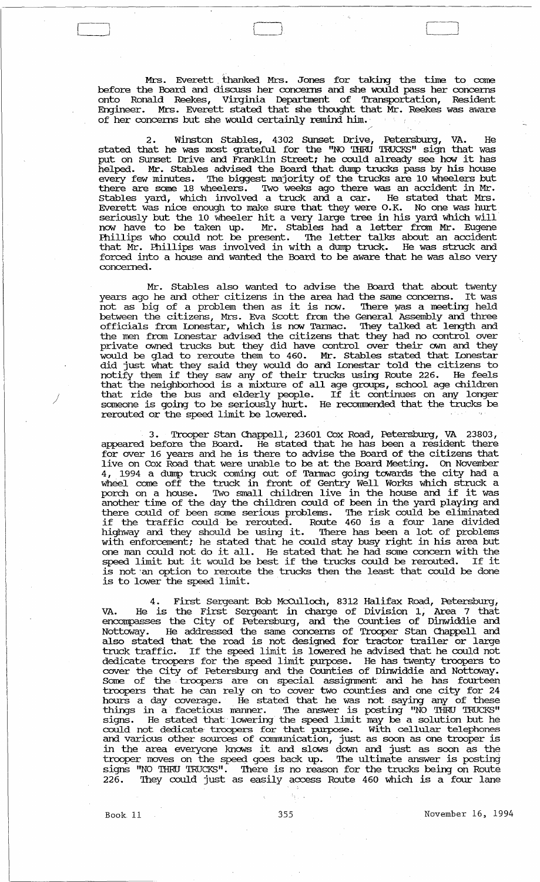Mrs. Everett thanked Mrs. Jones for taking the time to come before the Board and discuss her concerns and she would pass her concerns onto Ronald Reekes, Virginia Deparbnent of Transportation, Resident Engineer. Mrs. Everett stated that she thought that Mr. Reekes was aware of her concerns but she would certainly remind him.

J r  $\Box$ 

2. Winston Stables, 4302 SUnset Drive, Petersburg, VA. He stated that he was most grateful for the "NO THRU TRUCKS" sign that was put on Sunset Drive and Franklin Street; he could already see how it has helped. Mr. Stables advised the Board that dump trucks pass by his house every few minutes. '!he biggest majority of the trucks are 10 wheelers but there are some 18 wheelers. '!Wo weeks ago there was an accident in Mr. Stables yard, which irwolved a truck and a car. He stated that Mrs. Everett was nice enough to make sure that they were O.K. No one was hurt seriously but the 10 wheeler hit a very large tree in his yard which will now have to be taken up. Mr. Stables had a letter from Mr. Eugene Phillips who could not be present. '!he letter talks about an accident that Mr. Phillips was irwolved in with a dump truck. He was struck and forced into a house and wanted the Board to be aware that he was also very concexned.

Mr. Stables also wanted to advise the Board that about twenty<br>In the and other citizens in the area had the same concerns. It was years ago he and other citizens in the area had the same concerns. years ago he and other citizens in the area had the same concerns. It was<br>not as big of a problem then as it is now. There was a meeting held between the citizens, Mrs. Eva scott from the General Assembly and three officials from Lonestar, which is now Tarmac. They talked at length and the men from Lonestar advised the citizens that they had no control over private owned trucks but they did have control over their own and they would be glad to reroute them to 460. Mr. Stables stated that Ionestar did just what they said they would do and Lonestar told the citizens to notify them if they saw any of their trucks using Route 226. He feels that the neighborhood is a mixture of all age groups, school age children that ride the bus and elderly people. If it continues on any longer someone is going to be seriously hurt. He recommended that the trucks be rerouted or the speed limit be lowered.

3. Trooper stan Chappell, 23601 Cox Road, Petersburg, VA 23803, appeared before the Board. He stated that he has been a resident there for over 16 years and he is there to advise the Board of the citizens that live on Cox Road that were unable to be at the Board Meeting. On November 4, 1994 a dump truck coming out of Tannac going towards the city had a wheel come off the truck in front of Gentry Well Works which struck a porch on a house. Two small children live in the house and if it was another time of the day the children could of been in the yard playing and there could of been some serious problems. '!he risk could be eliminated if the traffic could be rerouted. Route 460 is a four lane divided highway and they should be using it. There has been a lot of problems with enforcement; he stated that he could stay busy right in his area but one man could not do it all. He stated that he had some concern with the speed limit but it would be best if the trucks could be rerouted. If it speed limit but it would be best if the trucks could be rerouted. If it is not an option to reroute the trucks then the least that could be done is to lower the speed limit.

4. First Sergeant Bob McCulloch, 8312 Halifax Road, Petersburg, VA. He is the First Sergeant in charge of Division 1, Area 7 that encompasses the City of Petersburg, and the Counties of Dinwiddie and Nottoway. He addressed the same concerns of Trooper Stan Chappell and also stated that the road is not designed for tractor trailer or large truck traffic. If the speed limit is lowered he advised that he could not dedicate troopers for the speed limit purpose. He has twenty troopers to cover the city of Petersburg and the Counties of Dinwiddie and Nottoway. Some of the troopers are on special assignment and he has fourteen troopers that he can rely on to cover two counties and one city for 24 hours a day coverage. He stated that he was not saying any of these things in a facetious manner. '!he answer is posting "NO 'lHRU '!RUCKS" signs. He stated that lowering the speed limit may be a solution but he could not dedicate' troopers for that purpose. With cellular telephones and various other sources of communication, just as soon as one trooper is in the area everyone knows it and slows down and just as soon as the trooper moves on the speed goes back up. The ultimate answer is posting signs "NO THRU '!RUCKS". '!here is no reason for the trucks being on Route 226. 'Ihey could just as easily access Route 460 which is a four lane

)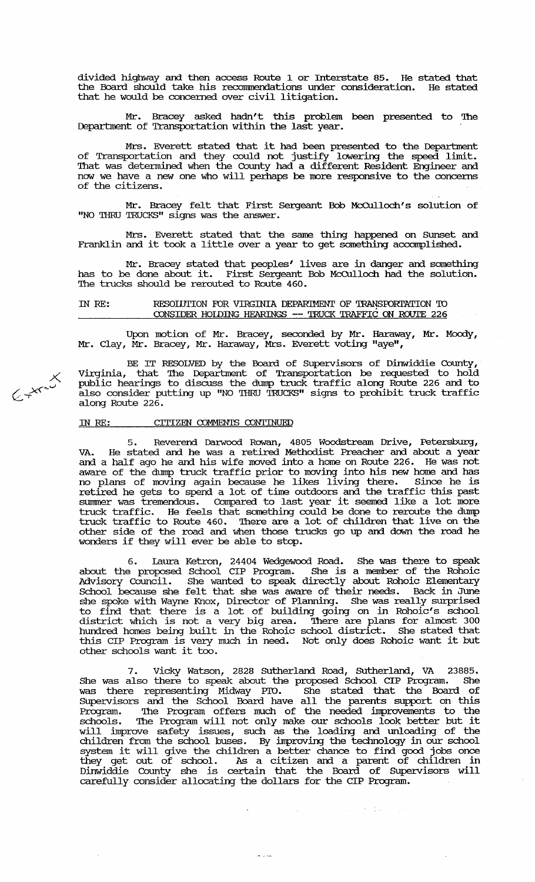divided highway and then access Route 1 or Interstate 85. He stated that the Board should take his recommendations under consideration. He stated that he would be concerned over civil litigation.

Mr. Bracey asked hadn/t this problem been presented to 'Ihe Department of Transportation within the last year.

Mrs. Everett stated that it had been presented to the Department of Transportation and they could not justify lowering the speed limit. That was detennined when the County had a different Resident Engineer and now we have a new one who will perhaps be more responsive to the concerns of the citizens.

Mr. Bracey felt that First Sergeant Bob McCulloch's solution of "NO THRU TRUCKS" signs was the answer.

Mrs. Everett stated that the same thing happened on SUnset and Franklin and it took a little over a year to get something accomplished.

Mr. Bracey stated that peoples' lives are in danger and something has to be done about it. First Sergeant Bob McCulloch had the solution. The trucks should be rerouted to Route 460.

IN RE: RESOLUTION FOR VIRGINIA DEPARIMENT OF TRANSPORTATION TO CONSIDER HOIDING HEARINGS -- TRUCK TRAFFIC ON ROUTE 226

Upon motion of Mr. Bracey, seconded by Mr. Haraway, Mr. Moody, Mr. Clay, Mr. Bracey, Mr. Haraway, Mrs. Everett voting "aye",

BE IT RESOLVED by the Board of supervisors of Dinwiddie County, Virginia, that The Department of Transportation be requested to hold public hearings to discuss the dump truck traffic along Route 226 and to also consider putting up "NO THRU TRUCKS" signs to prohibit truck traffic along Route 226.

### IN RE: CITIZEN COMMENTS CONTINUED

5. Reverend Darwood Rowan, 4805 Woodstream Drive, Petersburg, VA. He stated and he was a retired Methodist Preacher and about a year VA. He stated and he was a retired Methodist Preacher and about a year<br>and a half ago he and his wife moved into a home on Route 226. He was not and a mass ago its dim the mass movements in the internet and has aware of the dump truck traffic prior to moving into his new home and has no plans of moving again because he likes living there. since he is retired he gets to spend a lot of time outdoors and the traffic this past smmner was tremendous. Compared to last year it seemed like a lot more truck traffic. He feels that something could be done to reroute the dump truck traffic to Route 460. '!here are a lot of children that live on the other side of the road and when those trucks go up and dawn the road he wonders if they will ever be able to stop.

6. laura Ketron, 24404 Wedgewood Road. She was there to speak about the proposed School CIP Program. She is a member of the Rohoic Advisory Council. She wanted to speak directly about Rohoic Elementary School because she felt that she was aware of their needs. Back in June she spoke with Wayne Knox, Director of Planning. She was really surprised to find that there is a lot of building going on in Rohoic's school district which is not a very big area. There are plans for almost 300 hundred homes being built in the Rohoic school district. She stated that this CIP Program is very much in need. Not only does Rohoic want it but this CIP Program is very much in need.<br>other schools want it too.

7. vicky Watson, 2828 Sutherland Road, SUtherland, VA 23885. She was also there to speak about the proposed School CIP Program. She was there representing Midway PTO. She stated that the Board of SUpervisors and the School Board have all the parents support on this Program. '!he Program offers much of the needed improvements to the schools. 'Ihe Program will not only make our schools look better but it will improve safety issues, such as the loading and unloading of the children from the school buses. By improving the technology in our school system it will give the children a better chance to find good jobs once they get out of school. As a citizen and a parent of children in Dinwiddie County she is certain that the Board of SUpervisors will carefully consider allocating the dollars for the CIP Program.

سمال المر

 $\mathcal{L}^{\text{max}}_{\text{max}}$  , where  $\mathcal{L}^{\text{max}}_{\text{max}}$ 

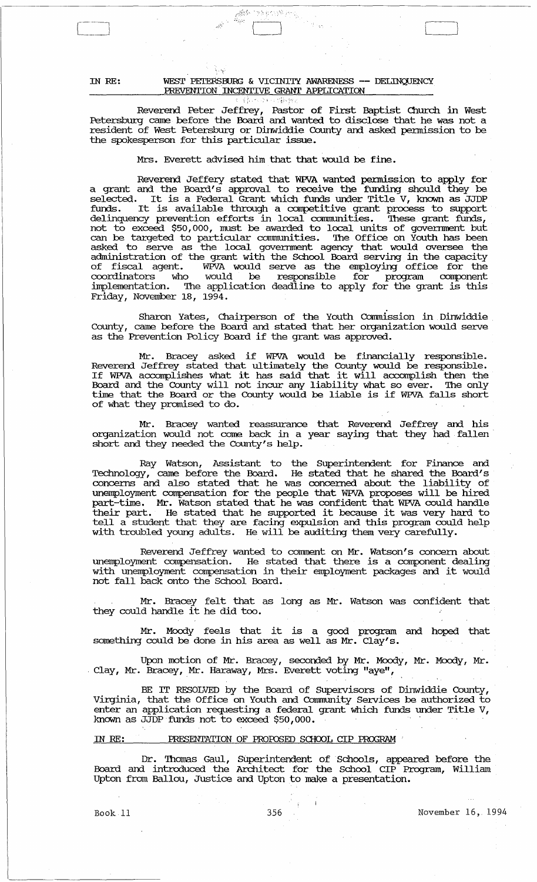IN RE:

# WEST PETERSBURG & VICINITY AWARENESS -- DELINQUENCY PREVENITION INCENTIVE GRANT APPLICATION

789098Prg

縣泰

्<br>संस्

Reverend Peter Jeffrey, Pastor of First Baptist Church in West<br>Petersburg came before the Board and wanted to disclose that he was not a<br>resident of West Petersburg or Dinwiddie County and asked permission to be the spokesperson for this particular issue.

### Mrs. Everett advised him that that would be fine.

Reverend Jeffery stated that WPVA wanted permission to apply for<br>a grant and the Board's approval to receive the funding should they be selected. It is a Federal Grant which funds under Title V, known as JJDP It is available through a competitive grant process to support funds. delinquency prevention efforts in local communities. These grant funds,<br>not to exceed \$50,000, must be awarded to local units of government but<br>can be targeted to particular communities. The Office on Youth has been<br>asked administration of the grant with the School Board serving in the capacity of fiscal agent. WPVA would serve as the employing office for the coordinators who would be responsible for program component implementation. The application deadline to apply for the grant is this Friday, November 18, 1994.

Sharon Yates, Chairperson of the Youth Commission in Dinwiddie County, came before the Board and stated that her organization would serve as the Prevention Policy Board if the grant was approved.

Mr. Bracey asked if WPVA would be financially responsible.<br>Reverend Jeffrey stated that ultimately the County would be responsible.<br>If WPVA accomplishes what it has said that it will accomplish then the<br>Board and the Count time that the Board or the County would be liable is if WPVA falls short of what they promised to do.

Mr. Bracey wanted reassurance that Reverend Jeffrey and his<br>organization would not come back in a year saying that they had fallen short and they needed the County's help.

Ray Watson, Assistant to the Superintendent for Finance and Technology, came before the Board. He stated that he shared the Board's connecting, which we went the was concerned about the liability of<br>concerns and also stated that he was concerned about the liability of<br>part-time. Mr. Watson stated that he was confident that WPVA could handle<br>their part. tell a student that they are facing expulsion and this program could help<br>with troubled young adults. He will be auditing them very carefully.

Reverend Jeffrey wanted to comment on Mr. Watson's concern about unemployment compensation. He stated that there is a component dealing with unemployment compensation in their employment packages and it would not fall back onto the School Board.

Mr. Bracey felt that as long as Mr. Watson was confident that they could handle it he did too.

Mr. Moody feels that it is a good program and hoped that something could be done in his area as well as Mr. Clay's.

Upon motion of Mr. Bracey, seconded by Mr. Moody, Mr. Moody, Mr. Clay, Mr. Bracey, Mr. Haraway, Mrs. Everett voting "aye",

BE IT RESOLVED by the Board of Supervisors of Dinwiddie County, Virginia, that the Office on Youth and Community Services be authorized to enter an application requesting a federal grant which funds under Title V, known as JJDP funds not to exceed \$50,000.

#### PRESENTATION OF PROPOSED SCHOOL CIP PROGRAM IN RE:

Dr. Thomas Gaul, Superintendent of Schools, appeared before the Board and introduced the Architect for the School CIP Program, William Upton from Ballou, Justice and Upton to make a presentation.

Book 11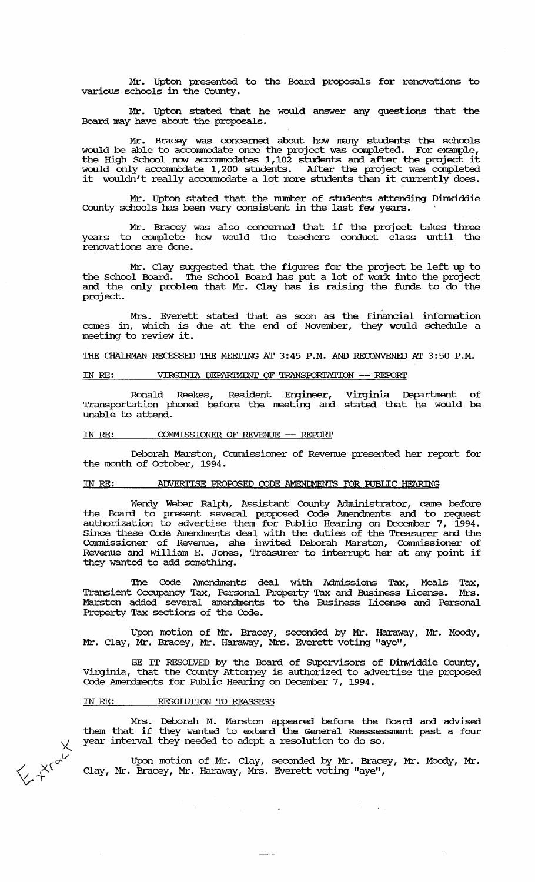Mr. Upton presented to the Board proposals for renovations to various schools in the County.

Mr. Upton stated that he would answer any questions that the Board may have about the proposals.

Mr. Bracey was concerned about how many students the schools would be able to acconunodate once the project was completed. For example, the High School now acconunodates 1,102 students and after the project it would only accommbdate 1,200 students. After the project was completed it wouldn't really accommodate a lot more students than it currently does.

Mr. Upton stated that the number of students attending Dinwiddie County schools has been very consistent in the last few years.

Mr. Bracey was also concerned that if the project takes three years to complete how would the teachers conduct class until the renovations are done.

Mr. Clay suggested that the figures for the project be left up to the School Board. The School Board has put a lot of work into the project and the only problem that Mr. Clay has is raising the funds to do the project.

Mrs. Everett stated that as soon as the firiancial infonnation comes in, which is due at the end of November, they would schedule a meeting to review it.

THE CHAIRMAN RECESSED THE MEETING AT 3:45 P.M. AND RECONVENED AT 3:50 P.M.

IN RE: VIRGINIA DEPARIMENT OF TRANSPORTATION -- REPORT

Ronald Reekes, Resident Engineer, Virginia Department of Transportation phoned before the meeting and stated that he would be unable to attend.

IN RE: COMMISSIONER OF REVENUE -- REroRI'

Deborah Marston, Commissioner of Revenue presented her report for the month of October, 1994.

## IN RE: ADVERTISE PROPOSED CODE AMENDMENTS FOR PUBLIC HEARING

Wendy Weber Ralph, Assistant County Administrator, came before the Board to present several proposed Code Amendments and to request authorization to advertise them for Public Hearing on December 7, 1994. since these Code Amendments deal with the duties of the Treasurer and the Connnissioner of Revenue, she invited Deborah Marston, Connnissioner of Revenue and William E. Jones, Treasurer to interrupt her at any point if they wanted to add something.

The Code Amendments deal with Admissions Tax, Meals Tax, Transient Occupancy Tax, Personal Property Tax and Business License. Mrs. Marston added several amendments to the Business License and Personal Property Tax sections of the Code.

Upon motion of Mr. Bracey, seconded by Mr. Haraway, Mr. Moody, Mr. Clay, Mr. Bracey, Mr. Haraway, Mrs. Everett voting "aye",

BE IT RESOLVED by the Board of Supervisors of Dinwiddie County, Virginia, that the County Attorney is authorized to advertise the proposed Code Amendments for Public Hearing on December 7, 1994.

### IN RE: RESOLUTION TO REASSESS

 $\int \sqrt{e^{x}}$  $\vee$  +  $\vee$ 

 $\times$   $-$ Mrs. Deborah M. Marston appeared before the Board and advised<br>them that if they wanted to extend the General Reassessment past a four year interval they needed to adopt a resolution to do so.

Upon motion of Mr. Clay, seconded by Mr. Bracey, Mr. Moody, Mr. Clay, Mr. Bracey, Mr. Haraway, Mrs. Everett voting "aye",

مدار میباشد.<br>مدارات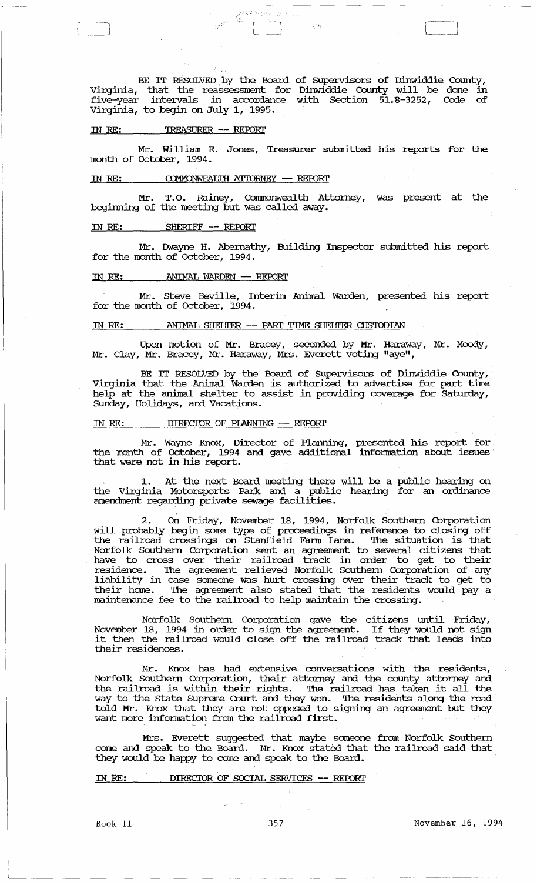BE IT RESOLVED by the Board of Supervisors of Dinwiddie County, Virginia, that the reassessment for Dinwiddie County will be done in five-year intervals in accordance with section 51.8-3252, Code of Virginia, to begin on July 1, 1995.

 $\cup$   $\beta_{k}$  .

· ;" .~.;.: ;.

# IN RE: TREASURER -- REPORT

Mt-. William E. Jones, Treasurer submitted his reports for the month of October, 1994 .

### IN RE: COMMONWEALIH ATTORNEY -- REPORT

Mr. T.O. Rainey, Commonwealth Attorney, was present at the beginning of the meeting but was called away.

## IN RE: SHERIFF -- REPORT

Mr. Dwayne H. Abernathy, Building Inspector submitted his report for the month of October, 1994.

# IN RE: ANIMAL WARDEN -- REPORT

Mr. steve Beville, Interim Animal Warden, presented his report for the month of October, 1994.

## IN RE: ANIMAL SHELTER -- PART TIME SHELTER CUSTODIAN

Upon motion of Mr. Bracey, seconded by Mr. Haraway, Mr. Moody, Mr. Clay, Mr. Bracey, Mr. Haraway, Mrs. Everett voting "aye",

BE IT RESOLVED by the Board of supervisors of Dinwiddie County, Virginia that the Animal Warden is authorized to advertise for part time help at the animal shelter to assist in providing coverage for Saturday, Sunday, Holidays, and Vacations.

## IN RE: DIRECIOR OF PLANNING -- REPORT

Mr. Wayne Knox, Director of Planning, presented his report for the month of October, 1994 and gave additional information about issues that were not in his report.

1. At the next Board meeting there will be a public hearing on the Virginia Motorsports Park and a public hearing for an ordinance amendment regarding private sewage facilities.

2. On Friday, November 18, 1994, Norfolk Southern Corporation will probably begin some type of proceedings in reference to closing off the railroad crossings on Stanfield Farm Lane. The situation is that Norfolk Southern Corporation sent an agreement to several citizens that have to cross over their railroad track in order to get to their residence. The agreement relieved Norfolk Southern Corporation of any liability in case someone was hurt crossing over their track to get to their home. The agreement also stated that the residents would pay a maintenance fee to the railroad to help maintain the crossing.

Norfolk Southern Corporation gave the citizens until Friday, November 18, 1994 in order to sign the agreement. If they would not sign November 18, 1994 In order to sign the agreement. If they would not sign<br>it then the railroad would close off the railroad track that leads into their residences.

Mr. Knox has had extensive conversations with the residents, Norfolk Southern Corporation, their attorney' and the county attorney and the railroad is within their rights. '!he railroad has taken it all the way to the State Supreme Court and they won. The residents along the road told Mr. Knox that they are not opposed to signing an agreement but. they want more information from the railroad first.

Mrs. Everett suggested that maybe someone from Norfolk Southern come and speak to the Board. Mr. Knox stated that the railroad said that they would be happy to came and speak to the Board.

## IN RE: DIRECTOR OF SOCIAL SERVICES -- REPORT

Book 11 357 November 16, 1994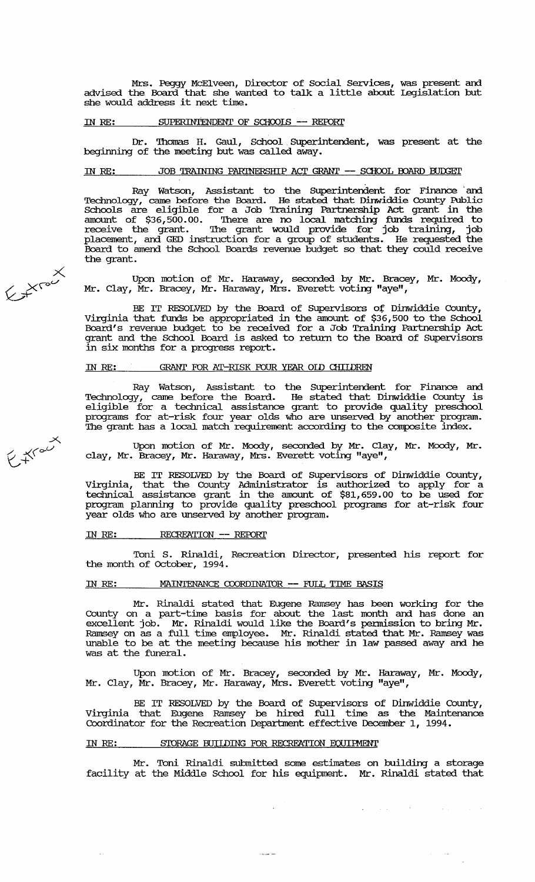Mrs. Peggy McElveen, Director of Social Services, was present and advised the Board that she wanted to talk a little about legislation but she would address it next time.

## IN RE: SUPERINTENDENT OF SCHOOLS -- REPORT

Dr. 'lhomas H. Gaul, School SUperintendent, was present at the beginning of the meeting but was called away.

### IN RE: JOB TRAINING PARINERSHIP ACT GRANT -- SCHOOL BOARD BUDGET

Ray Watson, Assistant to the Superintendent for Finance and Technology, came before the Board. He stated that Dinwiddie County Public Schools are eligible for a Job Training Partnership Act grant in the amount of \$36,500.00. There are no local matching funds required to receive the grant. '!he grant would provide for job training, job placement, and GED instruction for a group of students. He requested. the Board to amend the School Boards revenue budget so that they could receive the grant.

Upon motion of Mr. Haraway, seconded by Mr. Bracey, Mr. Moody, Mr. Clay, Mr. Bracey, Mr. Haraway, Mrs. Everett voting "aye",

BE IT RESOLVED by the Board of SUpervisors of Dinwiddie County, Virginia that funds be appropriated in the amount of \$36,500 to the School Board's revenue budget to be received for a Job Training Partnership Act grant and the School Board is asked to return to the Board of Supervisors in six months for a progress report.

## IN *RE:* GRANT FOR AT-RISK FOUR YEAR OID CHIlDREN

Ray Watson, Assistant to the Superintendent for Finance and Technology, came before the Board. He stated that Dinwiddie County is eligible for a technical assistance grant to provide quality preschool programs for at-risk four year olds who are unserved by another program. The grant has a local match requirement according to the composite index.

Upon motion of Mr. Moody, seconded by Mr. Clay, Mr. Moody, Mr. clay, Mr. Bracey, Mr. Haraway, Mrs. Everett voting "aye",

BE IT RESOLVED by the Board of SUpervisors of Dinwiddie County, virginia, that the County Administrator is authorized to apply for a technical assistance grant in the amount of \$81,659.00 to be used for program planning to provide quality preschool programs for at-risk four year olds who are unserved by another program.

## IN RE: RECREATION -- REPORT

 $\times$ 

 $\times$ 

*G-t<ro-<sup>u</sup>*

 $\angle$   $\times$   $\sim$ 

Toni S. Rinaldi, Recreation Director, presented his report for the month of October, 1994.

## IN RE: MAINTENANCE COORDINATOR -- FULL TIME BASIS

Mr. Rinaldi stated that Eugene Ramsey has been working for the County on a part-time basis for about the last month and has done an excellent job. Mr. Rinaldi would like the Board's pennission to bring Mr. Ramsey on as a full time employee. Mr. Rinaldi stated that Mr. Ramsey was unable to be at the meeting because his mother in law passed away and he was at the funeral.

Upon motion of Mr. Bracey, seconded by Mr. Haraway, Mr. Moody, Mr. Clay, Mr. Bracey, Mr. Haraway, Mrs. Everett voting "aye",

BE IT RESOLVED by the Board of supervisors of Dinwiddie County, Virginia that Eugene Ramsey be hired full time as the Maintenance Coordinator for the Recreation Department effective December 1, 1994.

## IN RE: STORAGE BUILDING FOR RECREATION EQUIPMENT

Mr. Toni Rinaldi submitted some estimates on building a storage facility at the Middle School for his equipment. Mr. Rinaldi stated that

 $\sim$   $\sim$ 

 $\mathcal{L}_{\rm{max}}$  . The  $\mathcal{L}_{\rm{max}}$ 

 $\mathcal{L}^{\mathcal{L}}$  , we can also

 $\sim 10^7$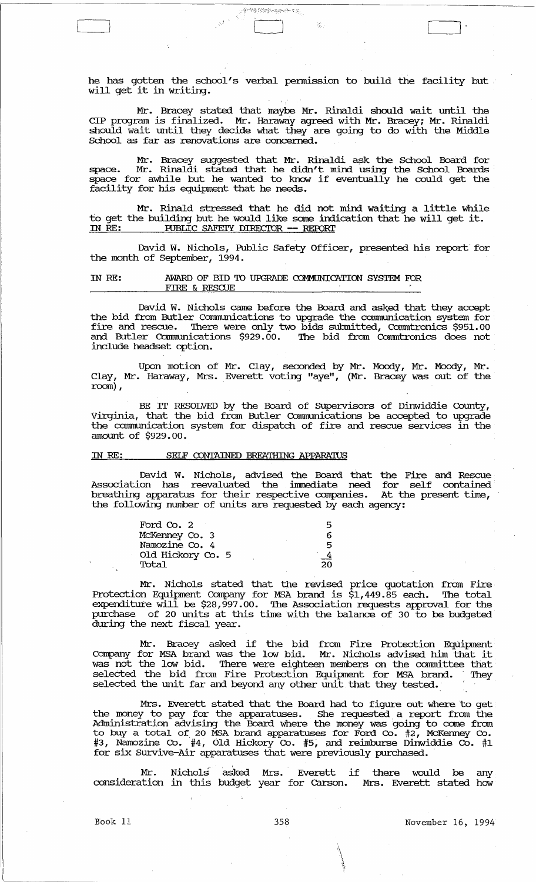he has gotten the school's verbal permission to build the facility but will get it in writing.

 $\hat{b}^{\pm}_{R\sigma}$ 

**SEPTERS REPORTED** 

Mr. Bracey stated that maybe Mr. Rinaldi should wait until the CIP program is finalized. Mr. Haraway agreed with Mr. Bracey; Mr. Rinaldi should wait until they decide what they are going to do with the Middle School as far as renovations are concerned.

Mr. Bracey suggested that Mr. Rinaldi ask the School Board for space. Mr. Rinaldi stated that he didn't mind using the School Boards space. Fir. Kindicit stated that he didn't him using the school boards<br>space for awhile but he wanted to know if eventually he could get the facility for his equipment that he needs.

Mr. Rinald stressed that he did not mind waiting a little while to get the building but he would like some indication that he will get it. IN RE: PUBLIC SAFEIY DIRECTOR -- REPORT

David W. Nichols, Public Safety Officer, presented his report for the month of September, 1994.

## IN RE: AWARD OF BID TO UPGRADE COMMUNICATION SYSTEM FOR FIRE & RESCUE

David W. Nichols came before the Board and asked that they accept the bid from Butler Communications to upgrade the communication system for fire and rescue. There were only two bids submitted, commtronics \$951.00 and Butler Communications \$929.00. The bid from Commtronics does not include headset option.

Upon motion of Mr. Clay, seconded by Mr. Moody, Mr. Moody, Mr. Clay, Mr. Haraway, Mrs. Everett voting "aye", (Mr. Bracey was out of the room) ,

BE IT RESOLVED by the Board of SUpervisors of Dinwiddie County, Virginia, that the bid from Butler Communications be accepted to upgrade the communication system for dispatch of fire and rescue services in the amount of \$929.00.

## IN RE: SELF CONTAINED BREATHING APPARATUS

David W. Nichols, advised the Board that the Fire and Rescue Association has reevaluated the immediate need for self contained breathing apparatus for their respective companies. At the present time, the following number of units are requested by each agency:

| Ford Co. 2        | ∽  |
|-------------------|----|
| McKenney Co. 3    |    |
| Namozine Co. 4    | 5  |
| Old Hickory Co. 5 | _4 |
| Total             | 20 |

Mr. Nichols stated that the revised price quotation from Fire Protection Equipment Company for MSA brand is \$1,449.85 each. The total expenditure will be \$28,997.00. The Association requests approval for the purchase of 20 units at this time with the balance of 30 to be budgeted during the next fiscal year.

Mr. Bracey asked if the bid from Fire Protection Equipment Company for MSA brand was the low bid. Mr. Nichols advised him that it was not the low bid. There were eighteen members on the committee that selected the bid from Fire Protection Equipment for MSA brand. . They selected the unit far and beyond any other unit that they tested.

Mrs. Everett stated that the Board had to figure out where to get the money to pay for the apparatuses. She requested a report from the Administration advising the Board where the money was 'going to come from to buy a total of 20 MSA brand apparatuses for Foro co. #2, McKenney Co. #3, Namozine Co. #4, Old Hickory Co. #5, and reimburse Dinwiddie Co. #1 for six Survive-Air apparatuses that were previously purchased. '

Mr. Nichols asked Mrs. Everett if there would be any<br>ation in this budget year for Carson. Mrs. Everett stated how consideration in this budget year for Carson.

Book 11 358 November 16, 1994

 $\begin{pmatrix} 1 & 1 \\ 1 & 1 \end{pmatrix}$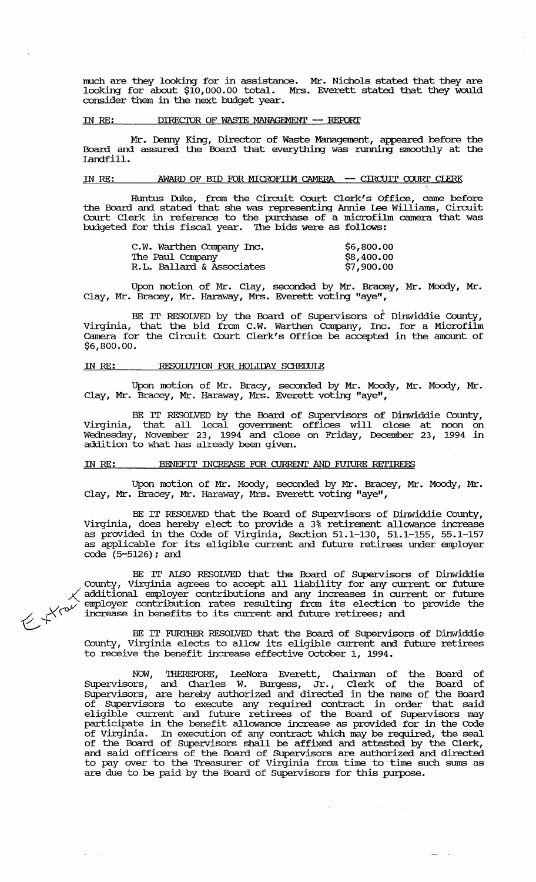much are they looking for in assistance. Mr. Nichols stated that they are looking for about \$10,000.00 total. Mrs. Everett stated that they would consider them in the next budget year.

### IN RE: DIRECTOR OF WASTE MANAGEMENT -- REPORT

Mr. Denny King, Director of Waste Management, appeared before the Board and assured the Board that everything was running smoothly at the landfill.

## IN RE: AWARD OF BID FOR MICROFIIM CAMERA -- CIRCUIT COURT CLERK

Huntus Dlke, from the circuit Court Clerk's Office, came before the Board and stated that she was representing Annie Lee Williams, Circuit Court Clerk in reference to the purchase of a microfilm camera that was budgeted for this fiscal year. The bids were as follows:

| C.W. Warthen Company Inc. | \$6,800.00 |
|---------------------------|------------|
| The Paul Company          | \$8,400.00 |
| R.L. Ballard & Associates | \$7,900.00 |

Upon motion of Mr. Clay, seconded by Mr. Bracey, Mr. Moody, Mr. Clay, Mr. Bracey, Mr. Haraway, Mrs. Everett voting "aye",

BE IT RESOLVED by the Board of supervisors of Dinwiddie County, Virginia, that the bid from C.W. Warthen Company, Inc. for a Microfilm camera for the Circuit Court Clerk's Office be accepted in the amount of \$6,800.00.

## IN RE: RESOLUTION FOR HOLIDAY SCHEDULE

Upon motion of Mr. Bracy, seconded by Mr. Moody, Mr. Moody, Mr. Clay, Mr. Bracey, Mr. Haraway, Mrs. Everett voting "aye",

BE IT RESOLVED by the Board of supervisors of Dinwiddie County, Virginia, that all local government offices will close at noon on Wednesday, November 23, 1994 and close on Friday, December 23, 1994 in addition to what has already been given.

#### IN RE: BENEFIT INCREASE FOR CURRENT AND FUIURE REI'IREES

Upon motion of Mr. Moody, seconded by Mr. Bracey, Mr. Moody, Mr. Clay, Mr. Bracey, Mr. Haraway, Mrs. Everett voting "aye",

BE IT RESOLVED that the Board of Supervisors of Dinwiddie County, Virginia, does hereby elect to provide a 3% retirement allowance increase as provided in the Code of Virginia, section 51.1-130, 51.1-155, 55.1-157 as applicable for its eligible current and future retirees under employer code (5-5126); and

BE IT ALSO RESOLVED that the Board of Supervisors of Dinwiddie County, Virginia agrees to accept all liability for any current or future additional employer contributions and any increases in current or future x dedictor to approve contribution rates resulting from its election to provide the increase in benefits to its current and future retirees; and  $\chi$   $\chi$ <sup> $\sim$ </sup> increase in benefits to its current and future retirees; and

> BE IT FURIHER RESOLVED that the Board of Supervisors of Dinwiddie County, Virginia elects to allow its eligible current and future retirees to receive the benefit increase effective October 1, 1994.

> NOW, THEREFORE, LeeNora Everett, Chairman of the Board of Supervisors, and Charles W. Burgess, Jr., Clerk of the Board of Supervisors, are hereby authorized and directed in the name of the Board of Supervisors to execute any required contract in order that said eligible current and future retirees of the Board of Supervisors may participate in the benefit allowance increase as provided for in the Code of Virginia. In execution of any contract which may be required, the seal of the Board of Supervisors shall be affixed and attested by the Clerk, and said officers of the Board of Supervisors are authorized and directed to pay over to the Treasurer of Virginia from time to time such sums as are due to be paid by the Board of Supervisors for this purpose.

 $e^{x^{\lambda}$ 

للمرابط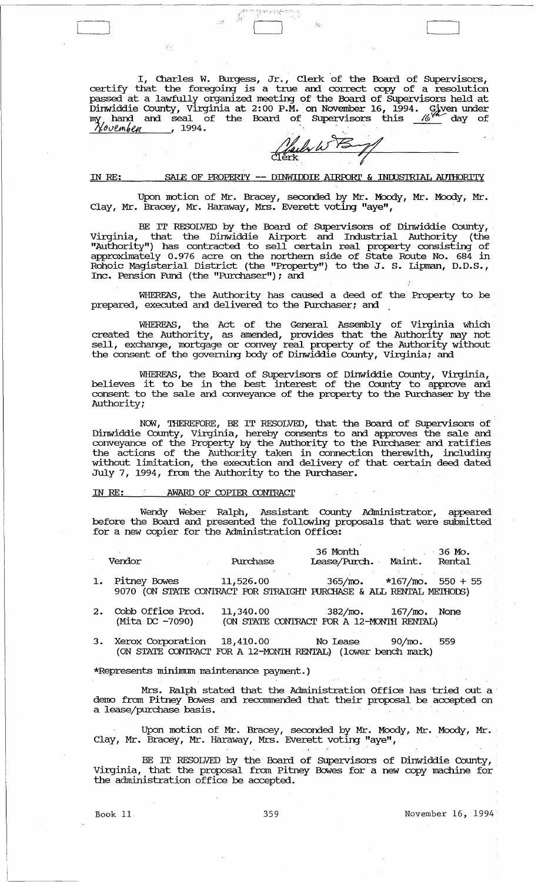I, Charles W. Burgess, Jr., Clerk of the Board of Supervisors, certify that the foregoing is a true and correct copy of a resolution passed at a lawfully organized meeting of the Board of Supervisors held at Dinwiddie County, Virginia at 2:00 P.M. on November 16, 1994. Given under Dinwiddie County, Virginia at 2:00 P.M. on November 16, 1994. Given under my hand and seal of the Board of Supervisors this 16<sup>th</sup> day of  $Novemben$ , 1994.

Baytslife aver

 $_{\text{u}}$   $_{\text{u}}$   $_{\text{v}}$ 

## IN RE: SALE OF PROPERIY -- DINWIDDIE AIRPORT & INDUSTRIAL AUIHORITY

Upon motion of Mr. Bracey, seconded by Mr. Moody, Mr. Moody, Mr. Clay, Mr. Bracey, Mr. Haraway, Mrs. Everett voting "aye", .......................

BE IT RESOLVED by the Board of SUpervisors of Dinwiddie County, Virginia, that the Dinwiddie Airport and Industrial Authority (the "Authority") has contracted to sell certain real property consisting of approximately 0.976 acre on the northern side of State Route No. 684 in Rohoic Magisterial District (the "Property") to the J. S. Lipman, D.D.S., Inc. Pension Fund (the "Purchaser"); and

WHEREAS, the Authority has caused a deed of the Property to be prepared, executed and delivered to the Purchaser; and

WHEREAS, the Act of the General Assembly of Virginia which created the Authority, as amended, provides that the Authority may not sell, exchange, mortgage or convey real property of the Authority without the consent of the governing body of Dinwiddie County, Virginia; and

WHEREAS, the Board of Supervisors of Dinwiddie County, Virginia, believes it to be in the best interest of the County to approve and consent to the sale and conveyance of the property to the Purchaser by the Authority;

NCM, THEREFDRE, BE IT RESOLVED, that the Board of supervisors of Dinwiddie County, Virginia, hereby consents to and approves the sale and conveyance of the Property by the Authority to the Purchaser and ratifies the actions of the Authority taken in connection therewith, including without limitation, the execution and delivery of that certain deed dated July 7, 1994, from the Authority to the Purchaser.

## IN RE: **AWARD OF COPIER CONTRACT**

Wendy Weber Ralph, Assistant County Administrator, appeared before the Board and presented the following proposals that were submitted for a new copier for the Administration Office:

| Vendor          | Purchase                                                            | 36 Month<br>Lease/Purch. Maint. Rental | the control of the control of the | $-36$ Mo. |
|-----------------|---------------------------------------------------------------------|----------------------------------------|-----------------------------------|-----------|
| 1. Pitney Bowes | 11,526.00                                                           |                                        | $365/mo.$ *167/mo. 550 + 55       |           |
|                 | 9070 (ON STATE CONTRACT FOR STRAIGHT PURCHASE & ALL RENTAL METHODS) |                                        |                                   |           |

- 2. Cobb Office Prod. (Mita DC -7090) 11,340.00 382/mo. 167/mo. None (ON STATE CONTRACT FOR A 12-MONTH RENTAL)
- 3. Xerox Corporation 18,410.00 No Lease 90/mo. 559 (ON STATE CONTRACT FOR A 12-MONTH RENTAL) (lower bench mark)

\*Represents minimum maintenance payment.)

Mrs. Ralph stated that the Administration Office has 'tried out a demo from Pitney Bowes and recommended that their proposal be accepted on a lease/purchase basis.

Upon motion of Mr. Bracey, seconded by Mr. Moody, Mr. Moody, Mr. Clay, Mr. Bracey, Mr. Haraway, Mrs. Everett voting "aye",

BE IT RESOLVED by the Board of supervisors of Dinwiddie County, Virginia, that the proposal from pitney Bowes for a new copy machine for the administration office be accepted.

[-]

Book 11 359 November 16, 1994